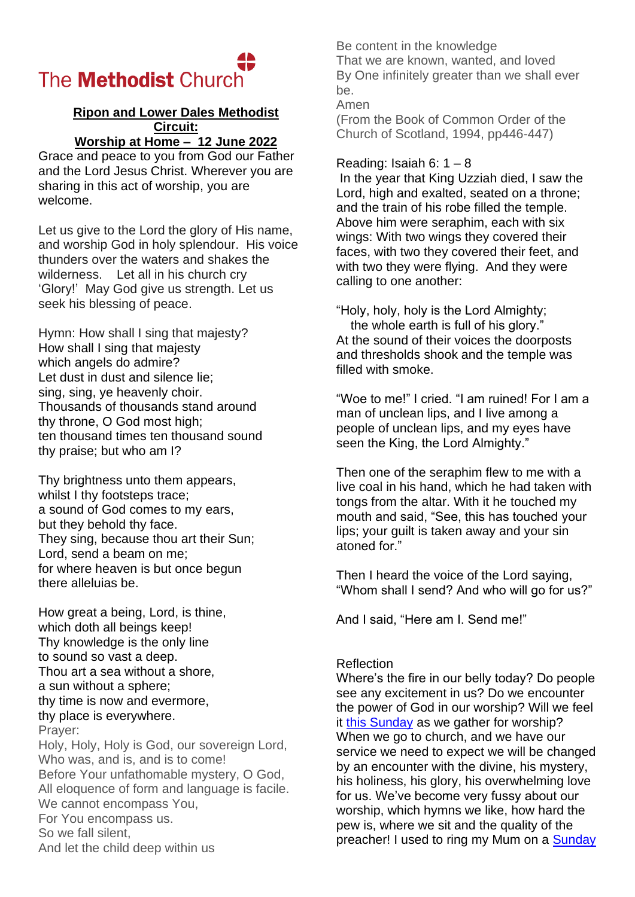## The **Methodist** Church

## **Ripon and Lower Dales Methodist Circuit: Worship at Home – 12 June 2022**

Grace and peace to you from God our Father and the Lord Jesus Christ. Wherever you are sharing in this act of worship, you are welcome.

Let us give to the Lord the glory of His name, and worship God in holy splendour. His voice thunders over the waters and shakes the wilderness. Let all in his church cry 'Glory!' May God give us strength. Let us seek his blessing of peace.

Hymn: How shall I sing that majesty? How shall I sing that majesty which angels do admire? Let dust in dust and silence lie; sing, sing, ye heavenly choir. Thousands of thousands stand around thy throne, O God most high; ten thousand times ten thousand sound thy praise; but who am I?

Thy brightness unto them appears, whilst I thy footsteps trace; a sound of God comes to my ears, but they behold thy face. They sing, because thou art their Sun; Lord, send a beam on me; for where heaven is but once begun there alleluias be.

How great a being, Lord, is thine, which doth all beings keep! Thy knowledge is the only line to sound so vast a deep. Thou art a sea without a shore, a sun without a sphere; thy time is now and evermore, thy place is everywhere. Prayer: Holy, Holy, Holy is God, our sovereign Lord, Who was, and is, and is to come! Before Your unfathomable mystery, O God,

All eloquence of form and language is facile. We cannot encompass You, For You encompass us.

So we fall silent,

And let the child deep within us

Be content in the knowledge That we are known, wanted, and loved By One infinitely greater than we shall ever be.

Amen

(From the Book of Common Order of the Church of Scotland, 1994, pp446-447)

## Reading: Isaiah 6:  $1 - 8$

In the year that King Uzziah died, I saw the Lord, high and exalted, seated on a throne; and the train of his robe filled the temple. Above him were seraphim, each with six wings: With two wings they covered their faces, with two they covered their feet, and with two they were flying. And they were calling to one another:

"Holy, holy, holy is the Lord Almighty; the whole earth is full of his glory."

At the sound of their voices the doorposts and thresholds shook and the temple was filled with smoke.

"Woe to me!" I cried. "I am ruined! For I am a man of unclean lips, and I live among a people of unclean lips, and my eyes have seen the King, the Lord Almighty."

Then one of the seraphim flew to me with a live coal in his hand, which he had taken with tongs from the altar. With it he touched my mouth and said, "See, this has touched your lips; your guilt is taken away and your sin atoned for."

Then I heard the voice of the Lord saying, "Whom shall I send? And who will go for us?"

And I said, "Here am I. Send me!"

## Reflection

Where's the fire in our belly today? Do people see any excitement in us? Do we encounter the power of God in our worship? Will we feel it [this Sunday](x-apple-data-detectors://8/) as we gather for worship? When we go to church, and we have our service we need to expect we will be changed by an encounter with the divine, his mystery, his holiness, his glory, his overwhelming love for us. We've become very fussy about our worship, which hymns we like, how hard the pew is, where we sit and the quality of the preacher! I used to ring my Mum on a Sunday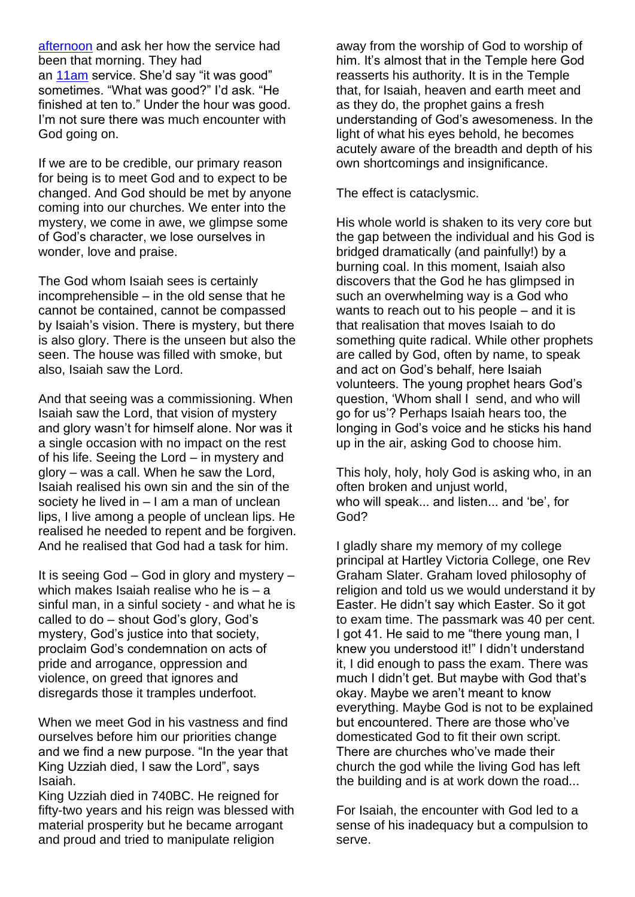[afternoon](x-apple-data-detectors://9/) and ask her how the service had been that morning. They had an [11am](x-apple-data-detectors://10/) service. She'd say "it was good" sometimes. "What was good?" I'd ask. "He finished at ten to." Under the hour was good. I'm not sure there was much encounter with God going on.

If we are to be credible, our primary reason for being is to meet God and to expect to be changed. And God should be met by anyone coming into our churches. We enter into the mystery, we come in awe, we glimpse some of God's character, we lose ourselves in wonder, love and praise.

The God whom Isaiah sees is certainly incomprehensible – in the old sense that he cannot be contained, cannot be compassed by Isaiah's vision. There is mystery, but there is also glory. There is the unseen but also the seen. The house was filled with smoke, but also, Isaiah saw the Lord.

And that seeing was a commissioning. When Isaiah saw the Lord, that vision of mystery and glory wasn't for himself alone. Nor was it a single occasion with no impact on the rest of his life. Seeing the Lord – in mystery and glory – was a call. When he saw the Lord, Isaiah realised his own sin and the sin of the society he lived in – I am a man of unclean lips, I live among a people of unclean lips. He realised he needed to repent and be forgiven. And he realised that God had a task for him.

It is seeing God – God in glory and mystery – which makes Isaiah realise who he is – a sinful man, in a sinful society - and what he is called to do – shout God's glory, God's mystery, God's justice into that society, proclaim God's condemnation on acts of pride and arrogance, oppression and violence, on greed that ignores and disregards those it tramples underfoot.

When we meet God in his vastness and find ourselves before him our priorities change and we find a new purpose. "In the year that King Uzziah died, I saw the Lord", says Isaiah.

King Uzziah died in 740BC. He reigned for fifty-two years and his reign was blessed with material prosperity but he became arrogant and proud and tried to manipulate religion

away from the worship of God to worship of him. It's almost that in the Temple here God reasserts his authority. It is in the Temple that, for Isaiah, heaven and earth meet and as they do, the prophet gains a fresh understanding of God's awesomeness. In the light of what his eyes behold, he becomes acutely aware of the breadth and depth of his own shortcomings and insignificance.

The effect is cataclysmic.

His whole world is shaken to its very core but the gap between the individual and his God is bridged dramatically (and painfully!) by a burning coal. In this moment, Isaiah also discovers that the God he has glimpsed in such an overwhelming way is a God who wants to reach out to his people – and it is that realisation that moves Isaiah to do something quite radical. While other prophets are called by God, often by name, to speak and act on God's behalf, here Isaiah volunteers. The young prophet hears God's question, 'Whom shall I send, and who will go for us'? Perhaps Isaiah hears too, the longing in God's voice and he sticks his hand up in the air, asking God to choose him.

This holy, holy, holy God is asking who, in an often broken and unjust world, who will speak... and listen... and 'be', for God?

I gladly share my memory of my college principal at Hartley Victoria College, one Rev Graham Slater. Graham loved philosophy of religion and told us we would understand it by Easter. He didn't say which Easter. So it got to exam time. The passmark was 40 per cent. I got 41. He said to me "there young man, I knew you understood it!" I didn't understand it, I did enough to pass the exam. There was much I didn't get. But maybe with God that's okay. Maybe we aren't meant to know everything. Maybe God is not to be explained but encountered. There are those who've domesticated God to fit their own script. There are churches who've made their church the god while the living God has left the building and is at work down the road...

For Isaiah, the encounter with God led to a sense of his inadequacy but a compulsion to serve.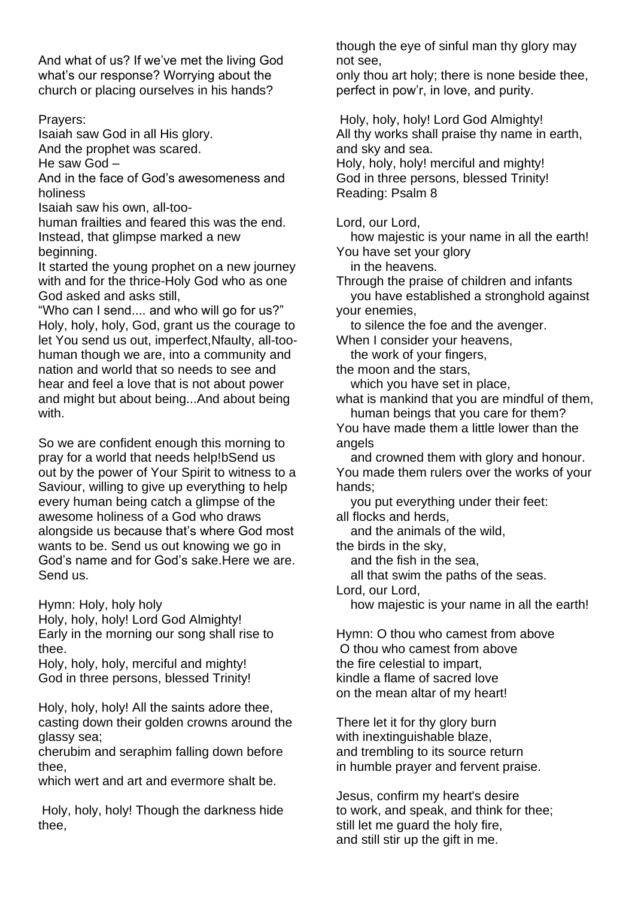And what of us? If we've met the living God what's our response? Worrying about the church or placing ourselves in his hands?

Prayers:

Isaiah saw God in all His glory.

And the prophet was scared.

He saw God –

And in the face of God's awesomeness and holiness

Isaiah saw his own, all-too-

human frailties and feared this was the end. Instead, that glimpse marked a new beginning.

It started the young prophet on a new journey with and for the thrice-Holy God who as one God asked and asks still,

"Who can I send.... and who will go for us?" Holy, holy, holy, God, grant us the courage to let You send us out, imperfect,Nfaulty, all-toohuman though we are, into a community and nation and world that so needs to see and hear and feel a love that is not about power and might but about being...And about being with.

So we are confident enough this morning to pray for a world that needs help!bSend us out by the power of Your Spirit to witness to a Saviour, willing to give up everything to help every human being catch a glimpse of the awesome holiness of a God who draws alongside us because that's where God most wants to be. Send us out knowing we go in God's name and for God's sake.Here we are. Send us.

Hymn: Holy, holy holy

Holy, holy, holy! Lord God Almighty! Early in the morning our song shall rise to thee.

Holy, holy, holy, merciful and mighty! God in three persons, blessed Trinity!

Holy, holy, holy! All the saints adore thee, casting down their golden crowns around the glassy sea;

cherubim and seraphim falling down before thee,

which wert and art and evermore shalt be.

Holy, holy, holy! Though the darkness hide thee,

though the eye of sinful man thy glory may not see,

only thou art holy; there is none beside thee, perfect in pow'r, in love, and purity.

Holy, holy, holy! Lord God Almighty! All thy works shall praise thy name in earth, and sky and sea.

Holy, holy, holy! merciful and mighty! God in three persons, blessed Trinity! Reading: Psalm 8

Lord, our Lord,

 how majestic is your name in all the earth! You have set your glory

in the heavens.

Through the praise of children and infants you have established a stronghold against your enemies,

to silence the foe and the avenger.

When I consider your heavens,

the work of your fingers,

the moon and the stars,

 which you have set in place, what is mankind that you are mindful of them,

 human beings that you care for them? You have made them a little lower than the angels

 and crowned them with glory and honour. You made them rulers over the works of your hands;

 you put everything under their feet: all flocks and herds,

and the animals of the wild,

the birds in the sky,

and the fish in the sea,

all that swim the paths of the seas.

Lord, our Lord,

how majestic is your name in all the earth!

Hymn: O thou who camest from above O thou who camest from above the fire celestial to impart, kindle a flame of sacred love on the mean altar of my heart!

There let it for thy glory burn with inextinguishable blaze, and trembling to its source return in humble prayer and fervent praise.

Jesus, confirm my heart's desire to work, and speak, and think for thee; still let me guard the holy fire, and still stir up the gift in me.